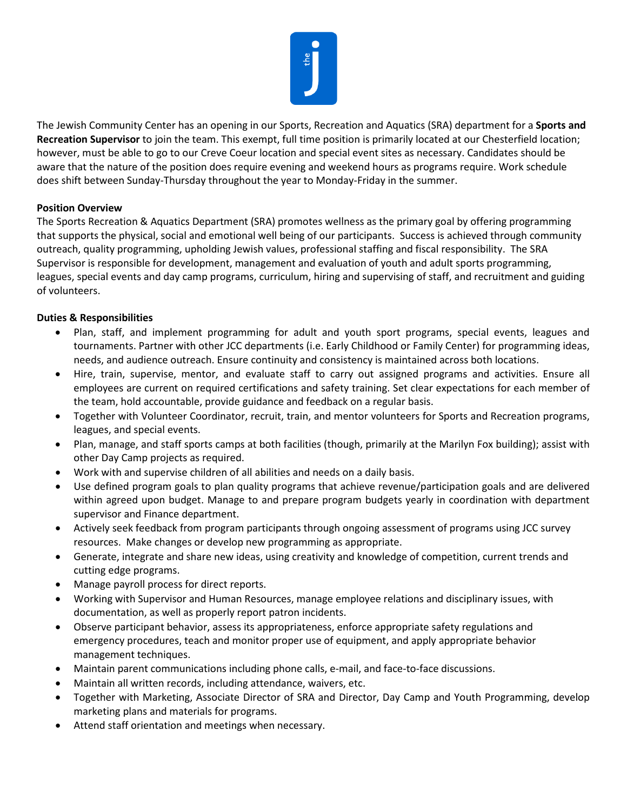

The Jewish Community Center has an opening in our Sports, Recreation and Aquatics (SRA) department for a **Sports and Recreation Supervisor** to join the team. This exempt, full time position is primarily located at our Chesterfield location; however, must be able to go to our Creve Coeur location and special event sites as necessary. Candidates should be aware that the nature of the position does require evening and weekend hours as programs require. Work schedule does shift between Sunday-Thursday throughout the year to Monday-Friday in the summer.

## **Position Overview**

The Sports Recreation & Aquatics Department (SRA) promotes wellness as the primary goal by offering programming that supports the physical, social and emotional well being of our participants. Success is achieved through community outreach, quality programming, upholding Jewish values, professional staffing and fiscal responsibility. The SRA Supervisor is responsible for development, management and evaluation of youth and adult sports programming, leagues, special events and day camp programs, curriculum, hiring and supervising of staff, and recruitment and guiding of volunteers.

## **Duties & Responsibilities**

- Plan, staff, and implement programming for adult and youth sport programs, special events, leagues and tournaments. Partner with other JCC departments (i.e. Early Childhood or Family Center) for programming ideas, needs, and audience outreach. Ensure continuity and consistency is maintained across both locations.
- Hire, train, supervise, mentor, and evaluate staff to carry out assigned programs and activities. Ensure all employees are current on required certifications and safety training. Set clear expectations for each member of the team, hold accountable, provide guidance and feedback on a regular basis.
- Together with Volunteer Coordinator, recruit, train, and mentor volunteers for Sports and Recreation programs, leagues, and special events.
- Plan, manage, and staff sports camps at both facilities (though, primarily at the Marilyn Fox building); assist with other Day Camp projects as required.
- Work with and supervise children of all abilities and needs on a daily basis.
- Use defined program goals to plan quality programs that achieve revenue/participation goals and are delivered within agreed upon budget. Manage to and prepare program budgets yearly in coordination with department supervisor and Finance department.
- Actively seek feedback from program participants through ongoing assessment of programs using JCC survey resources. Make changes or develop new programming as appropriate.
- Generate, integrate and share new ideas, using creativity and knowledge of competition, current trends and cutting edge programs.
- Manage payroll process for direct reports.
- Working with Supervisor and Human Resources, manage employee relations and disciplinary issues, with documentation, as well as properly report patron incidents.
- Observe participant behavior, assess its appropriateness, enforce appropriate safety regulations and emergency procedures, teach and monitor proper use of equipment, and apply appropriate behavior management techniques.
- Maintain parent communications including phone calls, e-mail, and face-to-face discussions.
- Maintain all written records, including attendance, waivers, etc.
- Together with Marketing, Associate Director of SRA and Director, Day Camp and Youth Programming, develop marketing plans and materials for programs.
- Attend staff orientation and meetings when necessary.